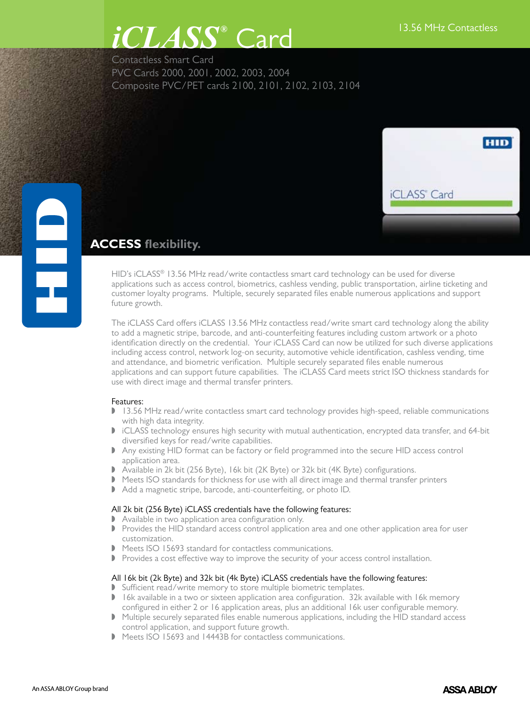## $CLASS<sup>®</sup>$   $Card$   $13.56$  MHz Contactless Card

Contactless Smart Card PVC Cards 2000, 2001, 2002, 2003, 2004 Composite PVC/PET cards 2100, 2101, 2102, 2103, 2104



# <u>e</u> **ACCESS flexibility.**

HID's iCLASS® 13.56 MHz read/write contactless smart card technology can be used for diverse applications such as access control, biometrics, cashless vending, public transportation, airline ticketing and customer loyalty programs. Multiple, securely separated files enable numerous applications and support future growth.

The iCLASS Card offers iCLASS 13.56 MHz contactless read/write smart card technology along the ability to add a magnetic stripe, barcode, and anti-counterfeiting features including custom artwork or a photo identification directly on the credential. Your iCLASS Card can now be utilized for such diverse applications including access control, network log-on security, automotive vehicle identification, cashless vending, time and attendance, and biometric verification. Multiple securely separated files enable numerous applications and can support future capabilities. The iCLASS Card meets strict ISO thickness standards for use with direct image and thermal transfer printers.

## Features:

- 13.56 MHz read/write contactless smart card technology provides high-speed, reliable communications with high data integrity.
- I iCLASS technology ensures high security with mutual authentication, encrypted data transfer, and 64-bit diversified keys for read/write capabilities.
- Any existing HID format can be factory or field programmed into the secure HID access control application area.
- D Available in 2k bit (256 Byte), 16k bit (2K Byte) or 32k bit (4K Byte) configurations.
- $\blacktriangleright$  Meets ISO standards for thickness for use with all direct image and thermal transfer printers
- Add a magnetic stripe, barcode, anti-counterfeiting, or photo ID.

## All 2k bit (256 Byte) iCLASS credentials have the following features:

- **D** Available in two application area configuration only.
- Provides the HID standard access control application area and one other application area for user customization.
- Meets ISO 15693 standard for contactless communications.
- Provides a cost effective way to improve the security of your access control installation.

## All 16k bit (2k Byte) and 32k bit (4k Byte) iCLASS credentials have the following features:

- Sufficient read/write memory to store multiple biometric templates.
- $\blacktriangleright$  16k available in a two or sixteen application area configuration. 32k available with 16k memory configured in either 2 or 16 application areas, plus an additional 16k user configurable memory.
- $\blacktriangleright$  Multiple securely separated files enable numerous applications, including the HID standard access control application, and support future growth.
- Meets ISO 15693 and 14443B for contactless communications.